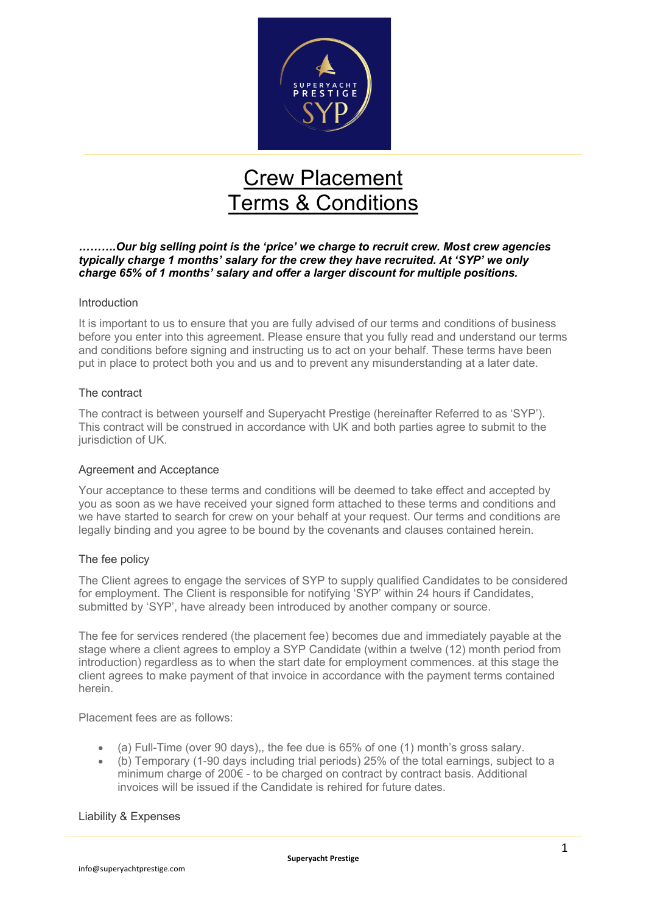

# Crew Placement Terms & Conditions

# *……….Our big selling point is the 'price' we charge to recruit crew. Most crew agencies typically charge 1 months' salary for the crew they have recruited. At 'SYP' we only charge 65% of 1 months' salary and offer a larger discount for multiple positions.*

#### Introduction

It is important to us to ensure that you are fully advised of our terms and conditions of business before you enter into this agreement. Please ensure that you fully read and understand our terms and conditions before signing and instructing us to act on your behalf. These terms have been put in place to protect both you and us and to prevent any misunderstanding at a later date.

#### The contract

The contract is between yourself and Superyacht Prestige (hereinafter Referred to as 'SYP'). This contract will be construed in accordance with UK and both parties agree to submit to the jurisdiction of UK.

## Agreement and Acceptance

Your acceptance to these terms and conditions will be deemed to take effect and accepted by you as soon as we have received your signed form attached to these terms and conditions and we have started to search for crew on your behalf at your request. Our terms and conditions are legally binding and you agree to be bound by the covenants and clauses contained herein.

## The fee policy

The Client agrees to engage the services of SYP to supply qualified Candidates to be considered for employment. The Client is responsible for notifying 'SYP' within 24 hours if Candidates, submitted by 'SYP', have already been introduced by another company or source.

The fee for services rendered (the placement fee) becomes due and immediately payable at the stage where a client agrees to employ a SYP Candidate (within a twelve (12) month period from introduction) regardless as to when the start date for employment commences. at this stage the client agrees to make payment of that invoice in accordance with the payment terms contained herein.

Placement fees are as follows:

- (a) Full-Time (over 90 days),, the fee due is 65% of one (1) month's gross salary.
- (b) Temporary (1-90 days including trial periods) 25% of the total earnings, subject to a minimum charge of 200€ - to be charged on contract by contract basis. Additional invoices will be issued if the Candidate is rehired for future dates.

#### Liability & Expenses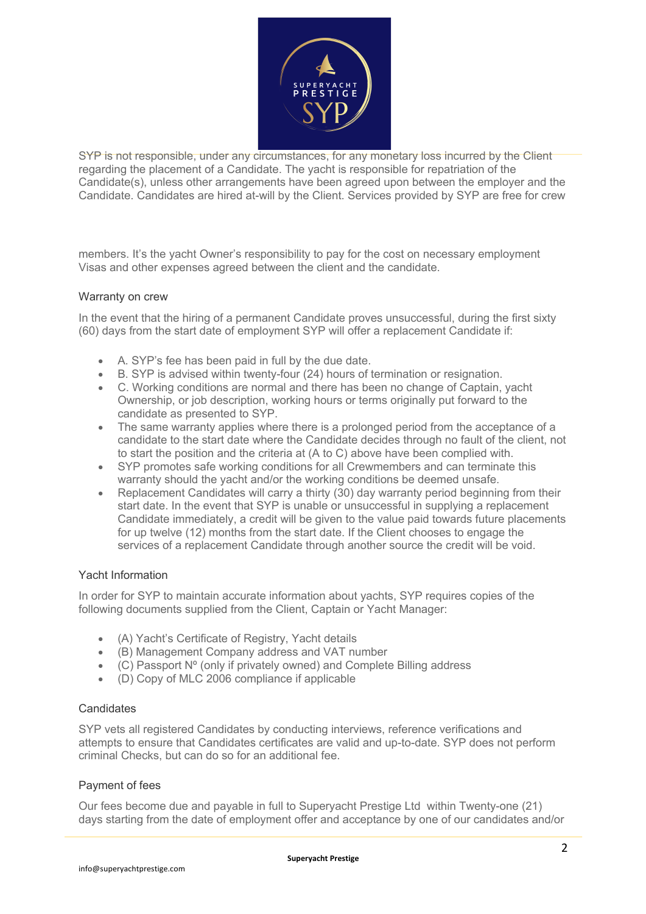

SYP is not responsible, under any circumstances, for any monetary loss incurred by the Client regarding the placement of a Candidate. The yacht is responsible for repatriation of the Candidate(s), unless other arrangements have been agreed upon between the employer and the Candidate. Candidates are hired at-will by the Client. Services provided by SYP are free for crew

members. It's the yacht Owner's responsibility to pay for the cost on necessary employment Visas and other expenses agreed between the client and the candidate.

## Warranty on crew

In the event that the hiring of a permanent Candidate proves unsuccessful, during the first sixty (60) days from the start date of employment SYP will offer a replacement Candidate if:

- A. SYP's fee has been paid in full by the due date.
- B. SYP is advised within twenty-four (24) hours of termination or resignation.
- C. Working conditions are normal and there has been no change of Captain, yacht Ownership, or job description, working hours or terms originally put forward to the candidate as presented to SYP.
- The same warranty applies where there is a prolonged period from the acceptance of a candidate to the start date where the Candidate decides through no fault of the client, not to start the position and the criteria at (A to C) above have been complied with.
- SYP promotes safe working conditions for all Crewmembers and can terminate this warranty should the yacht and/or the working conditions be deemed unsafe.
- Replacement Candidates will carry a thirty  $(30)$  day warranty period beginning from their start date. In the event that SYP is unable or unsuccessful in supplying a replacement Candidate immediately, a credit will be given to the value paid towards future placements for up twelve (12) months from the start date. If the Client chooses to engage the services of a replacement Candidate through another source the credit will be void.

## Yacht Information

In order for SYP to maintain accurate information about yachts, SYP requires copies of the following documents supplied from the Client, Captain or Yacht Manager:

- (A) Yacht's Certificate of Registry, Yacht details
- (B) Management Company address and VAT number
- (C) Passport Nº (only if privately owned) and Complete Billing address
- (D) Copy of MLC 2006 compliance if applicable

#### **Candidates**

SYP vets all registered Candidates by conducting interviews, reference verifications and attempts to ensure that Candidates certificates are valid and up-to-date. SYP does not perform criminal Checks, but can do so for an additional fee.

#### Payment of fees

Our fees become due and payable in full to Superyacht Prestige Ltd within Twenty-one (21) days starting from the date of employment offer and acceptance by one of our candidates and/or